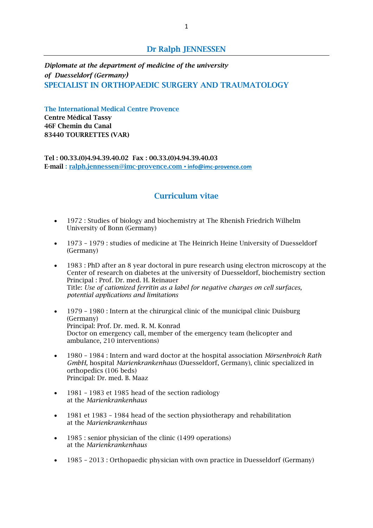# **Dr Ralph JENNESSEN**

*Diplomate at the department of medicine of the university of Duesseldorf (Germany)* **SPECIALIST IN ORTHOPAEDIC SURGERY AND TRAUMATOLOGY**

**The International Medical Centre Provence Centre Médical Tassy 46F Chemin du Canal 83440 TOURRETTES (VAR)**

**Tel : 00.33.(0)4.94.39.40.02 Fax : 00.33.(0)4.94.39.40.03 E-mail : [ralph.jennessen@imc-provence.com](mailto:ralph.jennessen@imc-provence.com) ▪ info@imc-provence.com**

# **Curriculum vitae**

- 1972 : Studies of biology and biochemistry at The Rhenish Friedrich Wilhelm University of Bonn (Germany)
- 1973 1979 : studies of medicine at The Heinrich Heine University of Duesseldorf (Germany)
- 1983 : PhD after an 8 year doctoral in pure research using electron microscopy at the Center of research on diabetes at the university of Duesseldorf, biochemistry section Principal : Prof. Dr. med. H. Reinauer Title: *Use of cationized ferritin as a label for negative charges on cell surfaces, potential applications and limitations*
- 1979 1980 : Intern at the chirurgical clinic of the municipal clinic Duisburg (Germany) Principal: Prof. Dr. med. R. M. Konrad Doctor on emergency call, member of the emergency team (helicopter and ambulance, 210 interventions)
- 1980 1984 : Intern and ward doctor at the hospital association *Mörsenbroich Rath GmbH,* hospital *Marienkrankenhaus* (Duesseldorf, Germany), clinic specialized in orthopedics (106 beds) Principal: Dr. med. B. Maaz
- 1981 1983 et 1985 head of the section radiology at the *Marienkrankenhaus*
- 1981 et 1983 1984 head of the section physiotherapy and rehabilitation at the *Marienkrankenhaus*
- 1985 : senior physician of the clinic (1499 operations) at the *Marienkrankenhaus*
- 1985 2013 : Orthopaedic physician with own practice in Duesseldorf (Germany)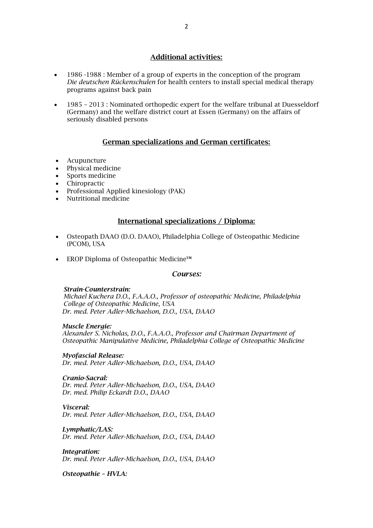# **Additional activities:**

- 1986 -1988 : Member of a group of experts in the conception of the program *Die deutschen Rückenschulen* for health centers to install special medical therapy programs against back pain
- 1985 2013 : Nominated orthopedic expert for the welfare tribunal at Duesseldorf (Germany) and the welfare district court at Essen (Germany) on the affairs of seriously disabled persons

# **German specializations and German certificates:**

- Acupuncture
- Physical medicine
- Sports medicine
- Chiropractic
- Professional Applied kinesiology (PAK)
- Nutritional medicine

#### **International specializations / Diploma:**

- Osteopath DAAO (D.O. DAAO), Philadelphia College of Osteopathic Medicine (PCOM), USA
- EROP Diploma of Osteopathic Medicine™

#### *Courses:*

#### *Strain-Counterstrain:*

 *Michael Kuchera D.O., F.A.A.O., Professor of osteopathic Medicine, Philadelphia College of Osteopathic Medicine, USA Dr. med. Peter Adler-Michaelson, D.O., USA, DAAO* 

#### *Muscle Energie:*

*Alexander S. Nicholas, D.O., F.A.A.O., Professor and Chairman Department of Osteopathic Manipulative Medicine, Philadelphia College of Osteopathic Medicine*

#### *Myofascial Release:*

*Dr. med. Peter Adler-Michaelson, D.O., USA, DAAO*

#### *Cranio-Sacral:*

*Dr. med. Peter Adler-Michaelson, D.O., USA, DAAO Dr. med. Philip Eckardt D.O., DAAO*

#### *Visceral:*

*Dr. med. Peter Adler-Michaelson, D.O., USA, DAAO*

*Lymphatic/LAS: Dr. med. Peter Adler-Michaelson, D.O., USA, DAAO*

*Integration: Dr. med. Peter Adler-Michaelson, D.O., USA, DAAO*

*Osteopathie – HVLA:*